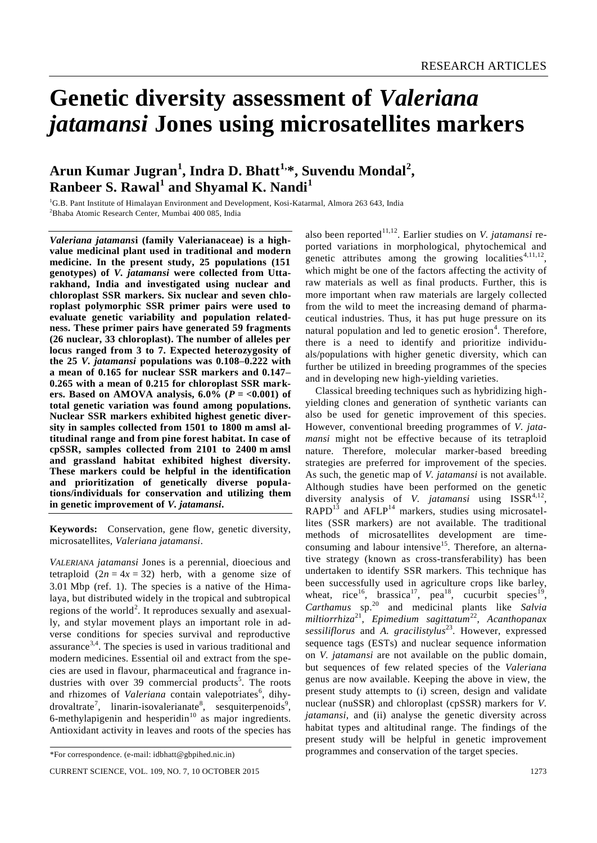# **Genetic diversity assessment of** *Valeriana jatamansi* **Jones using microsatellites markers**

# **Arun Kumar Jugran<sup>1</sup> , Indra D. Bhatt1,\* , Suvendu Mondal<sup>2</sup> , Ranbeer S. Rawal<sup>1</sup> and Shyamal K. Nandi<sup>1</sup>**

<sup>1</sup>G.B. Pant Institute of Himalayan Environment and Development, Kosi-Katarmal, Almora 263 643, India <sup>2</sup>Bhaba Atomic Research Center, Mumbai 400 085, India

*Valeriana jatamans***i (family Valerianaceae) is a highvalue medicinal plant used in traditional and modern medicine. In the present study, 25 populations (151 genotypes) of** *V. jatamansi* **were collected from Uttarakhand, India and investigated using nuclear and chloroplast SSR markers. Six nuclear and seven chloroplast polymorphic SSR primer pairs were used to evaluate genetic variability and population relatedness. These primer pairs have generated 59 fragments (26 nuclear, 33 chloroplast). The number of alleles per locus ranged from 3 to 7. Expected heterozygosity of the 25** *V. jatamansi* **populations was 0.108–0.222 with a mean of 0.165 for nuclear SSR markers and 0.147– 0.265 with a mean of 0.215 for chloroplast SSR mark**ers. Based on AMOVA analysis,  $6.0\%$  ( $P = <0.001$ ) of **total genetic variation was found among populations. Nuclear SSR markers exhibited highest genetic diversity in samples collected from 1501 to 1800 m amsl altitudinal range and from pine forest habitat. In case of cpSSR, samples collected from 2101 to 2400 m amsl and grassland habitat exhibited highest diversity. These markers could be helpful in the identification and prioritization of genetically diverse populations/individuals for conservation and utilizing them in genetic improvement of** *V. jatamansi***.**

**Keywords:** Conservation, gene flow, genetic diversity, microsatellites, *Valeriana jatamansi*.

*VALERIANA jatamansi* Jones is a perennial, dioecious and tetraploid  $(2n = 4x = 32)$  herb, with a genome size of 3.01 Mbp (ref. 1). The species is a native of the Himalaya, but distributed widely in the tropical and subtropical regions of the world<sup>2</sup>. It reproduces sexually and asexually, and stylar movement plays an important role in adverse conditions for species survival and reproductive assurance<sup>3,4</sup>. The species is used in various traditional and modern medicines. Essential oil and extract from the species are used in flavour, pharmaceutical and fragrance industries with over 39 commercial products<sup>5</sup>. The roots and rhizomes of *Valeriana* contain valepotriates<sup>6</sup>, dihydrovaltrate<sup>7</sup>, linarin-isovalerianate<sup>8</sup>, sesquiterpenoids<sup>9</sup>, 6-methylapigenin and hesperidin $10$  as major ingredients. Antioxidant activity in leaves and roots of the species has

also been reported<sup>11,12</sup>. Earlier studies on *V. jatamansi* reported variations in morphological, phytochemical and genetic attributes among the growing localities<sup>4,11,12</sup>, which might be one of the factors affecting the activity of raw materials as well as final products. Further, this is more important when raw materials are largely collected from the wild to meet the increasing demand of pharmaceutical industries. Thus, it has put huge pressure on its natural population and led to genetic erosion<sup>4</sup>. Therefore, there is a need to identify and prioritize individuals/populations with higher genetic diversity, which can further be utilized in breeding programmes of the species and in developing new high-yielding varieties.

Classical breeding techniques such as hybridizing highyielding clones and generation of synthetic variants can also be used for genetic improvement of this species. However, conventional breeding programmes of *V. jatamansi* might not be effective because of its tetraploid nature. Therefore, molecular marker-based breeding strategies are preferred for improvement of the species. As such, the genetic map of *V. jatamansi* is not available. Although studies have been performed on the genetic diversity analysis of *V. jatamansi* using ISSR<sup>4,12</sup>,  $RAPD<sup>13</sup>$  and  $AFLP<sup>14</sup>$  markers, studies using microsatellites (SSR markers) are not available. The traditional methods of microsatellites development are timeconsuming and labour intensive<sup>15</sup>. Therefore, an alternative strategy (known as cross-transferability) has been undertaken to identify SSR markers. This technique has been successfully used in agriculture crops like barley, wheat, rice<sup>16</sup>, brassica<sup>17</sup>, pea<sup>18</sup>, cucurbit species<sup>19</sup>, *Carthamus* sp.<sup>20</sup> and medicinal plants like *Salvia* miltiorrhiza<sup>21</sup>, Epimedium sagittatum<sup>22</sup>, Acanthopanax sessiliflorus and *A. gracilistylus*<sup>23</sup>. However, expressed sequence tags (ESTs) and nuclear sequence information on *V. jatamansi* are not available on the public domain, but sequences of few related species of the *Valeriana*  genus are now available. Keeping the above in view, the present study attempts to (i) screen, design and validate nuclear (nuSSR) and chloroplast (cpSSR) markers for *V. jatamansi*, and (ii) analyse the genetic diversity across habitat types and altitudinal range. The findings of the present study will be helpful in genetic improvement programmes and conservation of the target species.

<sup>\*</sup>For correspondence. (e-mail: idbhatt@gbpihed.nic.in)

CURRENT SCIENCE, VOL. 109, NO. 7, 10 OCTOBER 2015 1273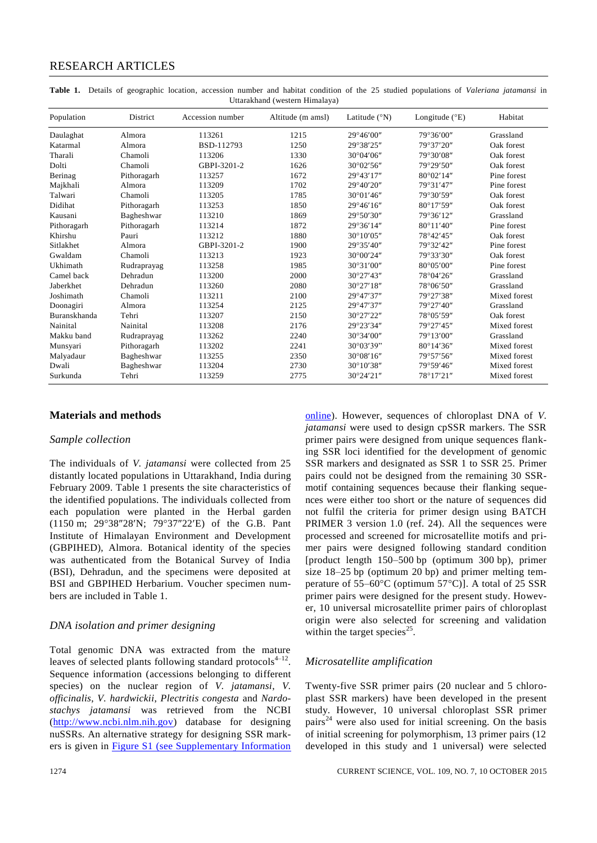| OttaraKilanu (western Thinalaya) |             |                  |                   |                        |                         |              |  |  |  |
|----------------------------------|-------------|------------------|-------------------|------------------------|-------------------------|--------------|--|--|--|
| Population                       | District    | Accession number | Altitude (m amsl) | Latitude $(^{\circ}N)$ | Longitude $(^{\circ}E)$ | Habitat      |  |  |  |
| Daulaghat                        | Almora      | 113261           | 1215              | 29°46'00"              | 79°36'00"               | Grassland    |  |  |  |
| Katarmal                         | Almora      | BSD-112793       | 1250              | 29°38'25"              | 79°37'20"               | Oak forest   |  |  |  |
| Tharali                          | Chamoli     | 113206           | 1330              | 30°04'06"              | 79°30'08"               | Oak forest   |  |  |  |
| Dolti                            | Chamoli     | GBPI-3201-2      | 1626              | 30°02'56"              | 79°29'50"               | Oak forest   |  |  |  |
| Berinag                          | Pithoragarh | 113257           | 1672              | 29°43'17"              | 80°02'14"               | Pine forest  |  |  |  |
| Majkhali                         | Almora      | 113209           | 1702              | 29°40'20"              | 79°31'47"               | Pine forest  |  |  |  |
| Talwari                          | Chamoli     | 113205           | 1785              | 30°01'46"              | 79°30'59"               | Oak forest   |  |  |  |
| Didihat                          | Pithoragarh | 113253           | 1850              | 29°46'16"              | 80°17'59"               | Oak forest   |  |  |  |
| Kausani                          | Bagheshwar  | 113210           | 1869              | 29°50'30"              | 79°36'12"               | Grassland    |  |  |  |
| Pithoragarh                      | Pithoragarh | 113214           | 1872              | 29°36'14"              | $80^{\circ}11'40''$     | Pine forest  |  |  |  |
| Khirshu                          | Pauri       | 113212           | 1880              | $30^{\circ}10'05''$    | 78°42'45"               | Oak forest   |  |  |  |
| Sitlakhet                        | Almora      | GBPI-3201-2      | 1900              | 29°35'40"              | 79°32'42"               | Pine forest  |  |  |  |
| Gwaldam                          | Chamoli     | 113213           | 1923              | $30^{\circ}00'24''$    | 79°33'30"               | Oak forest   |  |  |  |
| Ukhimath                         | Rudraprayag | 113258           | 1985              | 30°31'00"              | 80°05'00"               | Pine forest  |  |  |  |
| Camel back                       | Dehradun    | 113200           | 2000              | 30°27'43"              | 78°04'26"               | Grassland    |  |  |  |
| Jaberkhet                        | Dehradun    | 113260           | 2080              | 30°27'18"              | 78°06'50"               | Grassland    |  |  |  |
| Joshimath                        | Chamoli     | 113211           | 2100              | 29°47'37"              | 79°27'38"               | Mixed forest |  |  |  |
| Doonagiri                        | Almora      | 113254           | 2125              | 29°47'37"              | 79°27'40"               | Grassland    |  |  |  |
| Buranskhanda                     | Tehri       | 113207           | 2150              | 30°27'22"              | 78°05'59"               | Oak forest   |  |  |  |
| Nainital                         | Nainital    | 113208           | 2176              | 29°23'34"              | 79°27'45"               | Mixed forest |  |  |  |
| Makku band                       | Rudraprayag | 113262           | 2240              | 30°34'00"              | 79°13'00"               | Grassland    |  |  |  |
| Munsyari                         | Pithoragarh | 113202           | 2241              | $30^{\circ}03'39"$     | $80^{\circ}14'36''$     | Mixed forest |  |  |  |
| Malyadaur                        | Bagheshwar  | 113255           | 2350              | 30°08'16"              | 79°57'56"               | Mixed forest |  |  |  |
| Dwali                            | Bagheshwar  | 113204           | 2730              | 30°10'38"              | 79°59'46"               | Mixed forest |  |  |  |
| Surkunda                         | Tehri       | 113259           | 2775              | 30°24'21"              | 78°17'21"               | Mixed forest |  |  |  |

**Table 1.** Details of geographic location, accession number and habitat condition of the 25 studied populations of *Valeriana jatamansi* in Uttarakhand (western Himalaya)

### **Materials and methods**

#### *Sample collection*

The individuals of *V. jatamansi* were collected from 25 distantly located populations in Uttarakhand, India during February 2009. Table 1 presents the site characteristics of the identified populations. The individuals collected from each population were planted in the Herbal garden (1150 m; 29°38"28'N; 79°37"22'E) of the G.B. Pant Institute of Himalayan Environment and Development (GBPIHED), Almora. Botanical identity of the species was authenticated from the Botanical Survey of India (BSI), Dehradun, and the specimens were deposited at BSI and GBPIHED Herbarium. Voucher specimen numbers are included in Table 1.

#### *DNA isolation and primer designing*

Total genomic DNA was extracted from the mature leaves of selected plants following standard protocols $4-12$ . Sequence information (accessions belonging to different species) on the nuclear region of *V. jatamansi*, *V. officinalis*, *V. hardwickii*, *Plectritis congesta* and *Nardostachys jatamansi* was retrieved from the NCBI (http://www.ncbi.nlm.nih.gov) database for designing nuSSRs. An alternative strategy for designing SSR markers is given in Figure S1 [\(see Supplementary Information](http://www.currentscience.ac.in/Volumes/109/07/1273-suppl.pdf) 

[online\)](http://www.currentscience.ac.in/Volumes/109/07/1273-suppl.pdf). However, sequences of chloroplast DNA of *V. jatamansi* were used to design cpSSR markers. The SSR primer pairs were designed from unique sequences flanking SSR loci identified for the development of genomic SSR markers and designated as SSR 1 to SSR 25. Primer pairs could not be designed from the remaining 30 SSRmotif containing sequences because their flanking sequences were either too short or the nature of sequences did not fulfil the criteria for primer design using BATCH PRIMER 3 version 1.0 (ref. 24). All the sequences were processed and screened for microsatellite motifs and primer pairs were designed following standard condition [product length 150–500 bp (optimum 300 bp), primer size 18–25 bp (optimum 20 bp) and primer melting temperature of  $55-60^{\circ}$ C (optimum  $57^{\circ}$ C)]. A total of 25 SSR primer pairs were designed for the present study. However, 10 universal microsatellite primer pairs of chloroplast origin were also selected for screening and validation within the target species<sup>25</sup>.

#### *Microsatellite amplification*

Twenty-five SSR primer pairs (20 nuclear and 5 chloroplast SSR markers) have been developed in the present study. However, 10 universal chloroplast SSR primer pairs<sup>24</sup> were also used for initial screening. On the basis of initial screening for polymorphism, 13 primer pairs (12 developed in this study and 1 universal) were selected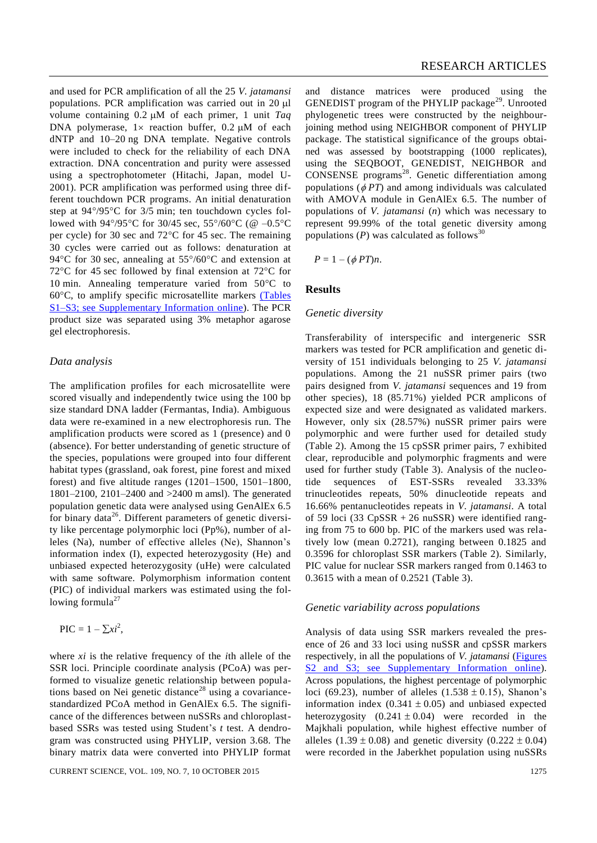and used for PCR amplification of all the 25 *V. jatamansi* populations. PCR amplification was carried out in  $20 \mu l$ volume containing  $0.2 \mu M$  of each primer, 1 unit *Taq* DNA polymerase,  $1 \times$  reaction buffer, 0.2  $\mu$ M of each dNTP and 10–20 ng DNA template. Negative controls were included to check for the reliability of each DNA extraction. DNA concentration and purity were assessed using a spectrophotometer (Hitachi, Japan, model U-2001). PCR amplification was performed using three different touchdown PCR programs. An initial denaturation step at  $94^{\circ}/95^{\circ}$ C for  $3/5$  min; ten touchdown cycles followed with 94°/95°C for 30/45 sec,  $55^{\circ}/60^{\circ}$ C (@ -0.5°C per cycle) for 30 sec and  $72^{\circ}$ C for 45 sec. The remaining 30 cycles were carried out as follows: denaturation at 94 $\rm{°C}$  for 30 sec, annealing at 55 $\rm{°/60}$ °C and extension at 72 $\degree$ C for 45 sec followed by final extension at 72 $\degree$ C for 10 min. Annealing temperature varied from  $50^{\circ}$ C to  $60^{\circ}$ C, to amplify specific microsatellite markers (Tables [S1–S3; see Supplementary Information](http://www.currentscience.ac.in/Volumes/109/07/1273-suppl.pdf) online). The PCR product size was separated using 3% metaphor agarose gel electrophoresis.

#### *Data analysis*

The amplification profiles for each microsatellite were scored visually and independently twice using the 100 bp size standard DNA ladder (Fermantas, India). Ambiguous data were re-examined in a new electrophoresis run. The amplification products were scored as 1 (presence) and 0 (absence). For better understanding of genetic structure of the species, populations were grouped into four different habitat types (grassland, oak forest, pine forest and mixed forest) and five altitude ranges (1201–1500, 1501–1800, 1801–2100, 2101–2400 and >2400 m amsl). The generated population genetic data were analysed using GenAlEx 6.5 for binary data<sup>26</sup>. Different parameters of genetic diversity like percentage polymorphic loci (Pp%), number of alleles (Na), number of effective alleles (Ne), Shannon's information index (I), expected heterozygosity (He) and unbiased expected heterozygosity (uHe) were calculated with same software. Polymorphism information content (PIC) of individual markers was estimated using the following formula $^{27}$ 

$$
\text{PIC} = 1 - \sum x i^2,
$$

where *xi* is the relative frequency of the *i*th allele of the SSR loci. Principle coordinate analysis (PCoA) was performed to visualize genetic relationship between populations based on Nei genetic distance<sup>28</sup> using a covariancestandardized PCoA method in GenAlEx 6.5. The significance of the differences between nuSSRs and chloroplastbased SSRs was tested using Student's *t* test. A dendrogram was constructed using PHYLIP, version 3.68. The binary matrix data were converted into PHYLIP format

and distance matrices were produced using the GENEDIST program of the PHYLIP package<sup>29</sup>. Unrooted phylogenetic trees were constructed by the neighbourjoining method using NEIGHBOR component of PHYLIP package. The statistical significance of the groups obtained was assessed by bootstrapping (1000 replicates), using the SEQBOOT, GENEDIST, NEIGHBOR and CONSENSE programs<sup>28</sup>. Genetic differentiation among populations  $(\phi PT)$  and among individuals was calculated with AMOVA module in GenAlEx 6.5. The number of populations of *V. jatamansi* (*n*) which was necessary to represent 99.99% of the total genetic diversity among populations  $(P)$  was calculated as follows<sup>30</sup>

 $P = 1 - (\phi PT)n$ .

#### **Results**

#### *Genetic diversity*

Transferability of interspecific and intergeneric SSR markers was tested for PCR amplification and genetic diversity of 151 individuals belonging to 25 *V. jatamansi* populations. Among the 21 nuSSR primer pairs (two pairs designed from *V. jatamansi* sequences and 19 from other species), 18 (85.71%) yielded PCR amplicons of expected size and were designated as validated markers. However, only six (28.57%) nuSSR primer pairs were polymorphic and were further used for detailed study (Table 2). Among the 15 cpSSR primer pairs, 7 exhibited clear, reproducible and polymorphic fragments and were used for further study (Table 3). Analysis of the nucleotide sequences of EST-SSRs revealed 33.33% trinucleotides repeats, 50% dinucleotide repeats and 16.66% pentanucleotides repeats in *V. jatamansi*. A total of 59 loci (33 CpSSR + 26 nuSSR) were identified ranging from 75 to 600 bp. PIC of the markers used was relatively low (mean 0.2721), ranging between 0.1825 and 0.3596 for chloroplast SSR markers (Table 2). Similarly, PIC value for nuclear SSR markers ranged from 0.1463 to 0.3615 with a mean of 0.2521 (Table 3).

#### *Genetic variability across populations*

Analysis of data using SSR markers revealed the presence of 26 and 33 loci using nuSSR and cpSSR markers respectively, in all the populations of *V. jatamansi* [\(Figures](http://www.currentscience.ac.in/Volumes/109/07/1273-suppl.pdf)  [S2 and S3; see Supplementary Information](http://www.currentscience.ac.in/Volumes/109/07/1273-suppl.pdf) online). Across populations, the highest percentage of polymorphic loci (69.23), number of alleles (1.538  $\pm$  0.15), Shanon's information index  $(0.341 \pm 0.05)$  and unbiased expected heterozygosity  $(0.241 \pm 0.04)$  were recorded in the Majkhali population, while highest effective number of alleles  $(1.39 \pm 0.08)$  and genetic diversity  $(0.222 \pm 0.04)$ were recorded in the Jaberkhet population using nuSSRs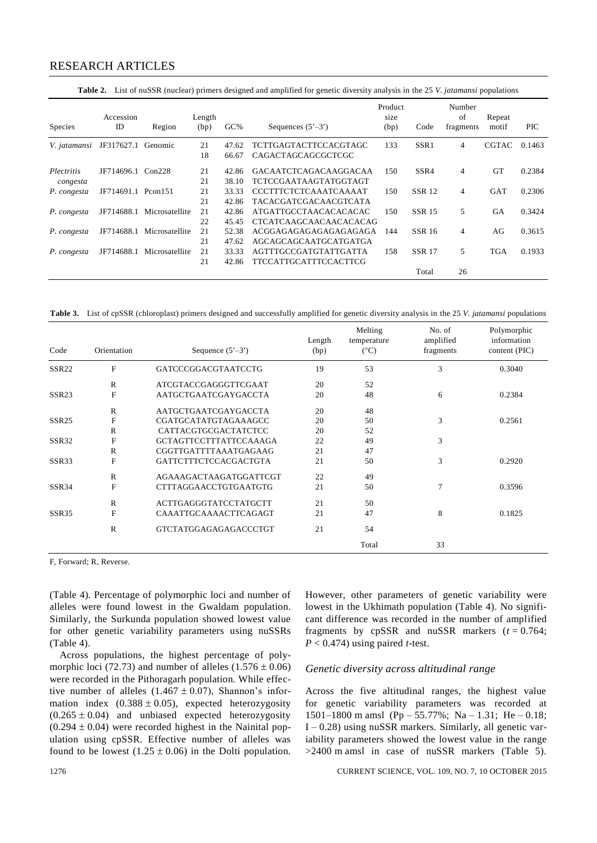|  |  |  |  |  |  |  | Table 2. List of nuSSR (nuclear) primers designed and amplified for genetic diversity analysis in the 25 V. jatamansi populations |
|--|--|--|--|--|--|--|-----------------------------------------------------------------------------------------------------------------------------------|
|--|--|--|--|--|--|--|-----------------------------------------------------------------------------------------------------------------------------------|

| <b>Species</b>    | Accession<br>ID | Region              | Length<br>(bp) | $GC\%$ | Sequences $(5'–3')$           | Product<br>size<br>(bp) | Code          | Number<br>of<br>fragments | Repeat<br>motif | <b>PIC</b> |
|-------------------|-----------------|---------------------|----------------|--------|-------------------------------|-------------------------|---------------|---------------------------|-----------------|------------|
| V. jatamansi      | JF317627.1      | Genomic             | 21             | 47.62  | TCTTGAGTACTTCCACGTAGC         | 133                     | SSR1          | 4                         | <b>CGTAC</b>    | 0.1463     |
|                   |                 |                     | 18             | 66.67  | CAGACTAGCAGCGCTCGC            |                         |               |                           |                 |            |
| <i>Plectritis</i> | JF714696.1      | Con228              | 21             | 42.86  | GACAATCTCAGACAAGGACAA         | 150                     | SSR4          | 4                         | <b>GT</b>       | 0.2384     |
| congesta          |                 |                     | 21             | 38.10  | TCTCCGAATAAGTATGGTAGT         |                         |               |                           |                 |            |
| P. congesta       | JF714691.1      | Pcon <sub>151</sub> | 21             | 33.33  | CCCTTTCTCTCAAATCAAAAT         | 150                     | <b>SSR 12</b> | 4                         | <b>GAT</b>      | 0.2306     |
|                   |                 |                     | 21             | 42.86  | TACACGATCGACAACGTCATA         |                         |               |                           |                 |            |
| P. congesta       | JF714688.1      | Microsatellite      | 21             | 42.86  | ATGATTGCCTAACACACACAC         | 150                     | <b>SSR 15</b> | 5                         | <b>GA</b>       | 0.3424     |
|                   |                 |                     | 22             | 45.45  | <b>CTCATCAAGCAACAACACACAG</b> |                         |               |                           |                 |            |
| P. congesta       | JF714688.1      | Microsatellite      | 21             | 52.38  | ACGGAGAGAGAGAGAGAGAGA         | 144                     | SSR 16        | 4                         | AG              | 0.3615     |
|                   |                 |                     | 21             | 47.62  | AGCAGCAGCAATGCATGATGA         |                         |               |                           |                 |            |
| P. congesta       | JF714688.1      | Microsatellite      | 21             | 33.33  | AGTTTGCCGATGTATTGATTA         | 158                     | <b>SSR 17</b> | 5                         | <b>TGA</b>      | 0.1933     |
|                   |                 |                     | 21             | 42.86  | TTCCATTGCATTTCCACTTCG         |                         |               |                           |                 |            |
|                   |                 |                     |                |        |                               |                         | Total         | 26                        |                 |            |

**Table 3.** List of cpSSR (chloroplast) primers designed and successfully amplified for genetic diversity analysis in the 25 *V. jatamansi* populations

| Code              | Orientation  | Sequence $(5'–3')$            | Length<br>(bp) | Melting<br>temperature<br>$(^{\circ}C)$ | No. of<br>amplified<br>fragments | Polymorphic<br>information<br>content (PIC) |
|-------------------|--------------|-------------------------------|----------------|-----------------------------------------|----------------------------------|---------------------------------------------|
| SSR <sub>22</sub> | F            | GATCCCGGACGTAATCCTG           | 19             | 53                                      | 3                                | 0.3040                                      |
|                   | $\mathbb{R}$ | ATCGTACCGAGGGTTCGAAT          | 20             | 52                                      |                                  |                                             |
| SSR <sub>23</sub> | F            | AATGCTGAATCGAYGACCTA          | 20             | 48                                      | 6                                | 0.2384                                      |
|                   | $\mathbb{R}$ | AATGCTGAATCGAYGACCTA          | 20             | 48                                      |                                  |                                             |
| SSR <sub>25</sub> | F            | CGATGCATATGTAGAAAGCC          | 20             | 50                                      | 3                                | 0.2561                                      |
|                   | $\mathbb{R}$ | CATTACGTGCGACTATCTCC          | 20             | 52                                      |                                  |                                             |
| SSR32             | F            | <b>GCTAGTTCCTTTATTCCAAAGA</b> | 22             | 49                                      | 3                                |                                             |
|                   | $\mathbb{R}$ | CGGTTGATTTTAAATGAGAAG         | 21             | 47                                      |                                  |                                             |
| SSR33             | F            | GATTCTTTCTCCACGACTGTA         | 21             | 50                                      | 3                                | 0.2920                                      |
|                   | $\mathbb{R}$ | AGAAAGACTAAGATGGATTCGT        | 22             | 49                                      |                                  |                                             |
| SSR34             | F            | <b>CTTTAGGAACCTGTGAATGTG</b>  | 21             | 50                                      | 7                                | 0.3596                                      |
|                   | $\mathbb{R}$ | ACTTGAGGGTATCCTATGCTT         | 21             | 50                                      |                                  |                                             |
| SSR35             | F            | CAAATTGCAAAACTTCAGAGT         | 21             | 47                                      | 8                                | 0.1825                                      |
|                   | $\mathbb{R}$ | <b>GTCTATGGAGAGAGACCCTGT</b>  | 21             | 54                                      |                                  |                                             |
|                   |              |                               |                | Total                                   | 33                               |                                             |

F, Forward; R, Reverse.

(Table 4). Percentage of polymorphic loci and number of alleles were found lowest in the Gwaldam population. Similarly, the Surkunda population showed lowest value for other genetic variability parameters using nuSSRs (Table 4).

Across populations, the highest percentage of polymorphic loci (72.73) and number of alleles  $(1.576 \pm 0.06)$ were recorded in the Pithoragarh population. While effective number of alleles  $(1.467 \pm 0.07)$ , Shannon's information index  $(0.388 \pm 0.05)$ , expected heterozygosity  $(0.265 \pm 0.04)$  and unbiased expected heterozygosity  $(0.294 \pm 0.04)$  were recorded highest in the Nainital population using cpSSR. Effective number of alleles was found to be lowest  $(1.25 \pm 0.06)$  in the Dolti population. However, other parameters of genetic variability were lowest in the Ukhimath population (Table 4). No significant difference was recorded in the number of amplified fragments by cpSSR and nuSSR markers  $(t = 0.764)$ ;  $P < 0.474$ ) using paired *t*-test.

#### *Genetic diversity across altitudinal range*

Across the five altitudinal ranges, the highest value for genetic variability parameters was recorded at 1501–1800 m amsl (Pp – 55.77%; Na – 1.31; He – 0.18;  $I - 0.28$ ) using nuSSR markers. Similarly, all genetic variability parameters showed the lowest value in the range >2400 m amsl in case of nuSSR markers (Table 5).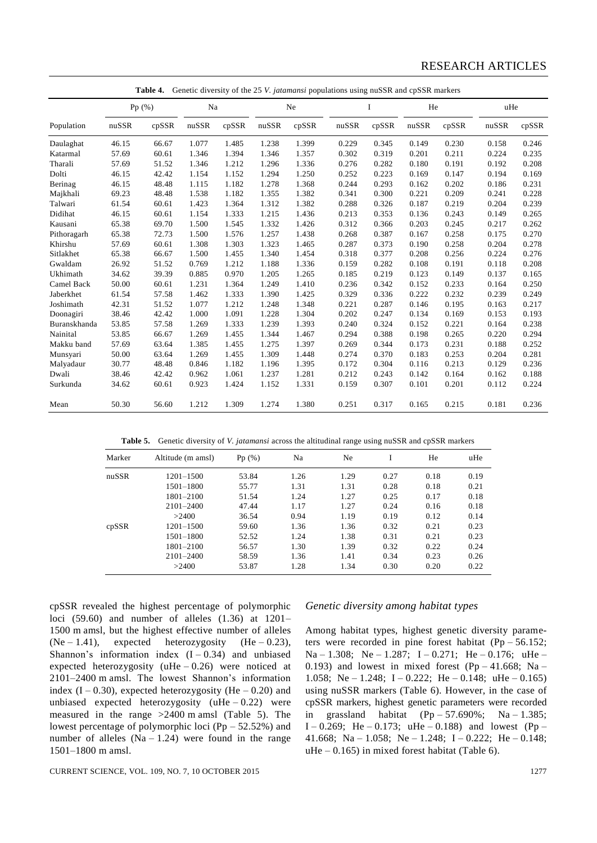| Genetic diversity of the 25 V. <i>jatamansi</i> populations using nuSSR and cpSSR markers<br>Table 4. |       |       |       |       |       |       |       |       |       |       |       |       |
|-------------------------------------------------------------------------------------------------------|-------|-------|-------|-------|-------|-------|-------|-------|-------|-------|-------|-------|
|                                                                                                       |       | Pp(%) | Na    |       |       | Ne    |       | I     | He    |       | uHe   |       |
| Population                                                                                            | nuSSR | cpSSR | nuSSR | cpSSR | nuSSR | cpSSR | nuSSR | cpSSR | nuSSR | cpSSR | nuSSR | cpSSR |
| Daulaghat                                                                                             | 46.15 | 66.67 | 1.077 | 1.485 | 1.238 | 1.399 | 0.229 | 0.345 | 0.149 | 0.230 | 0.158 | 0.246 |
| Katarmal                                                                                              | 57.69 | 60.61 | 1.346 | 1.394 | 1.346 | 1.357 | 0.302 | 0.319 | 0.201 | 0.211 | 0.224 | 0.235 |
| Tharali                                                                                               | 57.69 | 51.52 | 1.346 | 1.212 | 1.296 | 1.336 | 0.276 | 0.282 | 0.180 | 0.191 | 0.192 | 0.208 |
| Dolti                                                                                                 | 46.15 | 42.42 | 1.154 | 1.152 | 1.294 | 1.250 | 0.252 | 0.223 | 0.169 | 0.147 | 0.194 | 0.169 |
| Berinag                                                                                               | 46.15 | 48.48 | 1.115 | 1.182 | 1.278 | 1.368 | 0.244 | 0.293 | 0.162 | 0.202 | 0.186 | 0.231 |
| Majkhali                                                                                              | 69.23 | 48.48 | 1.538 | 1.182 | 1.355 | 1.382 | 0.341 | 0.300 | 0.221 | 0.209 | 0.241 | 0.228 |
| Talwari                                                                                               | 61.54 | 60.61 | 1.423 | 1.364 | 1.312 | 1.382 | 0.288 | 0.326 | 0.187 | 0.219 | 0.204 | 0.239 |
| Didihat                                                                                               | 46.15 | 60.61 | 1.154 | 1.333 | 1.215 | 1.436 | 0.213 | 0.353 | 0.136 | 0.243 | 0.149 | 0.265 |
| Kausani                                                                                               | 65.38 | 69.70 | 1.500 | 1.545 | 1.332 | 1.426 | 0.312 | 0.366 | 0.203 | 0.245 | 0.217 | 0.262 |
| Pithoragarh                                                                                           | 65.38 | 72.73 | 1.500 | 1.576 | 1.257 | 1.438 | 0.268 | 0.387 | 0.167 | 0.258 | 0.175 | 0.270 |
| Khirshu                                                                                               | 57.69 | 60.61 | 1.308 | 1.303 | 1.323 | 1.465 | 0.287 | 0.373 | 0.190 | 0.258 | 0.204 | 0.278 |
| Sitlakhet                                                                                             | 65.38 | 66.67 | 1.500 | 1.455 | 1.340 | 1.454 | 0.318 | 0.377 | 0.208 | 0.256 | 0.224 | 0.276 |
| Gwaldam                                                                                               | 26.92 | 51.52 | 0.769 | 1.212 | 1.188 | 1.336 | 0.159 | 0.282 | 0.108 | 0.191 | 0.118 | 0.208 |
| Ukhimath                                                                                              | 34.62 | 39.39 | 0.885 | 0.970 | 1.205 | 1.265 | 0.185 | 0.219 | 0.123 | 0.149 | 0.137 | 0.165 |
| Camel Back                                                                                            | 50.00 | 60.61 | 1.231 | 1.364 | 1.249 | 1.410 | 0.236 | 0.342 | 0.152 | 0.233 | 0.164 | 0.250 |
| Jaberkhet                                                                                             | 61.54 | 57.58 | 1.462 | 1.333 | 1.390 | 1.425 | 0.329 | 0.336 | 0.222 | 0.232 | 0.239 | 0.249 |
| Joshimath                                                                                             | 42.31 | 51.52 | 1.077 | 1.212 | 1.248 | 1.348 | 0.221 | 0.287 | 0.146 | 0.195 | 0.163 | 0.217 |
| Doonagiri                                                                                             | 38.46 | 42.42 | 1.000 | 1.091 | 1.228 | 1.304 | 0.202 | 0.247 | 0.134 | 0.169 | 0.153 | 0.193 |
| Buranskhanda                                                                                          | 53.85 | 57.58 | 1.269 | 1.333 | 1.239 | 1.393 | 0.240 | 0.324 | 0.152 | 0.221 | 0.164 | 0.238 |
| Nainital                                                                                              | 53.85 | 66.67 | 1.269 | 1.455 | 1.344 | 1.467 | 0.294 | 0.388 | 0.198 | 0.265 | 0.220 | 0.294 |
| Makku band                                                                                            | 57.69 | 63.64 | 1.385 | 1.455 | 1.275 | 1.397 | 0.269 | 0.344 | 0.173 | 0.231 | 0.188 | 0.252 |
| Munsyari                                                                                              | 50.00 | 63.64 | 1.269 | 1.455 | 1.309 | 1.448 | 0.274 | 0.370 | 0.183 | 0.253 | 0.204 | 0.281 |
| Malyadaur                                                                                             | 30.77 | 48.48 | 0.846 | 1.182 | 1.196 | 1.395 | 0.172 | 0.304 | 0.116 | 0.213 | 0.129 | 0.236 |
| Dwali                                                                                                 | 38.46 | 42.42 | 0.962 | 1.061 | 1.237 | 1.281 | 0.212 | 0.243 | 0.142 | 0.164 | 0.162 | 0.188 |
| Surkunda                                                                                              | 34.62 | 60.61 | 0.923 | 1.424 | 1.152 | 1.331 | 0.159 | 0.307 | 0.101 | 0.201 | 0.112 | 0.224 |
| Mean                                                                                                  | 50.30 | 56.60 | 1.212 | 1.309 | 1.274 | 1.380 | 0.251 | 0.317 | 0.165 | 0.215 | 0.181 | 0.236 |

**Table 5.** Genetic diversity of *V. jatamansi* across the altitudinal range using nuSSR and cpSSR markers

| Marker | Altitude (m amsl) | Pp(%) | Na   | Ne   |      | He   | uHe  |
|--------|-------------------|-------|------|------|------|------|------|
| nuSSR  | 1201-1500         | 53.84 | 1.26 | 1.29 | 0.27 | 0.18 | 0.19 |
|        | 1501-1800         | 55.77 | 1.31 | 1.31 | 0.28 | 0.18 | 0.21 |
|        | 1801-2100         | 51.54 | 1.24 | 1.27 | 0.25 | 0.17 | 0.18 |
|        | $2101 - 2400$     | 47.44 | 1.17 | 1.27 | 0.24 | 0.16 | 0.18 |
|        | >2400             | 36.54 | 0.94 | 1.19 | 0.19 | 0.12 | 0.14 |
| cpSSR  | 1201-1500         | 59.60 | 1.36 | 1.36 | 0.32 | 0.21 | 0.23 |
|        | 1501-1800         | 52.52 | 1.24 | 1.38 | 0.31 | 0.21 | 0.23 |
|        | 1801-2100         | 56.57 | 1.30 | 1.39 | 0.32 | 0.22 | 0.24 |
|        | $2101 - 2400$     | 58.59 | 1.36 | 1.41 | 0.34 | 0.23 | 0.26 |
|        | >2400             | 53.87 | 1.28 | 1.34 | 0.30 | 0.20 | 0.22 |

cpSSR revealed the highest percentage of polymorphic loci (59.60) and number of alleles (1.36) at 1201– 1500 m amsl, but the highest effective number of alleles  $(Ne - 1.41)$ , expected heterozygosity  $(He - 0.23)$ , Shannon's information index  $(I - 0.34)$  and unbiased expected heterozygosity (uHe – 0.26) were noticed at 2101–2400 m amsl. The lowest Shannon's information index  $(I - 0.30)$ , expected heterozygosity  $(He - 0.20)$  and unbiased expected heterozygosity  $(uHe - 0.22)$  were measured in the range >2400 m amsl (Table 5). The lowest percentage of polymorphic loci (Pp – 52.52%) and number of alleles  $(Na - 1.24)$  were found in the range 1501–1800 m amsl.

#### *Genetic diversity among habitat types*

Among habitat types, highest genetic diversity parameters were recorded in pine forest habitat (Pp – 56.152; Na – 1.308; Ne – 1.287; I – 0.271; He – 0.176; uHe – 0.193) and lowest in mixed forest  $(Pp - 41.668; Na -$ 1.058; Ne – 1.248; I – 0.222; He – 0.148; uHe – 0.165) using nuSSR markers (Table 6). However, in the case of cpSSR markers, highest genetic parameters were recorded in grassland habitat  $(Pp - 57.690\%; Na - 1.385;$ I – 0.269; He – 0.173; uHe – 0.188) and lowest (Pp – 41.668; Na – 1.058; Ne – 1.248; I – 0.222; He – 0.148;  $uHe - 0.165$ ) in mixed forest habitat (Table 6).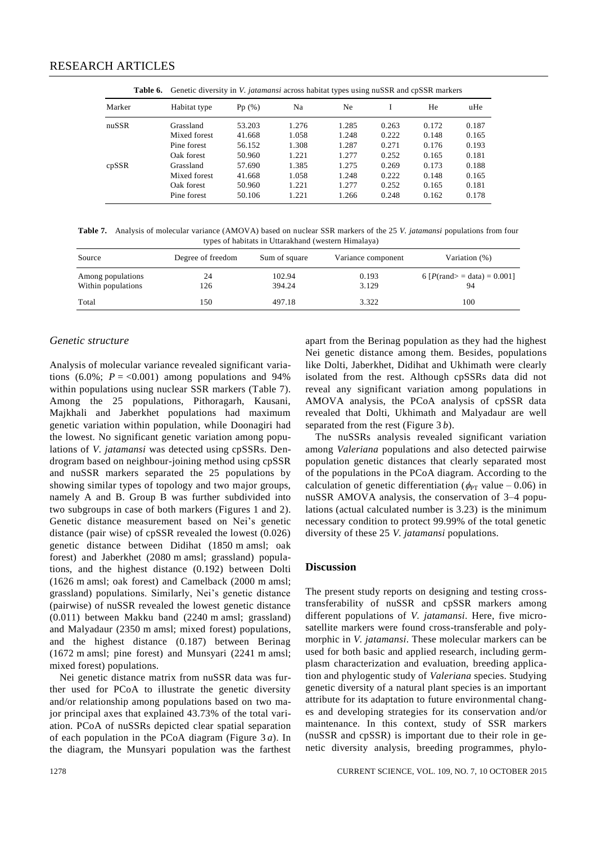|  |  | Table 6. Genetic diversity in V. jatamansi across habitat types using nuSSR and cpSSR markers |
|--|--|-----------------------------------------------------------------------------------------------|
|  |  |                                                                                               |

| Marker | Habitat type | Pp(%)  | Na    | Ne    |       | He    | uHe   |
|--------|--------------|--------|-------|-------|-------|-------|-------|
| nuSSR  | Grassland    | 53.203 | 1.276 | 1.285 | 0.263 | 0.172 | 0.187 |
|        | Mixed forest | 41.668 | 1.058 | 1.248 | 0.222 | 0.148 | 0.165 |
|        | Pine forest  | 56.152 | 1.308 | 1.287 | 0.271 | 0.176 | 0.193 |
|        | Oak forest   | 50.960 | 1.221 | 1.277 | 0.252 | 0.165 | 0.181 |
| cpSSR  | Grassland    | 57.690 | 1.385 | 1.275 | 0.269 | 0.173 | 0.188 |
|        | Mixed forest | 41.668 | 1.058 | 1.248 | 0.222 | 0.148 | 0.165 |
|        | Oak forest   | 50.960 | 1.221 | 1.277 | 0.252 | 0.165 | 0.181 |
|        | Pine forest  | 50.106 | 1.221 | 1.266 | 0.248 | 0.162 | 0.178 |

**Table 7.** Analysis of molecular variance (AMOVA) based on nuclear SSR markers of the 25 *V. jatamansi* populations from four types of habitats in Uttarakhand (western Himalaya)

| Source                                  | Degree of freedom | Sum of square    | Variance component | Variation (%)                                     |
|-----------------------------------------|-------------------|------------------|--------------------|---------------------------------------------------|
| Among populations<br>Within populations | 24<br>126         | 102.94<br>394.24 | 0.193<br>3.129     | 6 $[P(\text{rand}> = \text{data}) = 0.001]$<br>94 |
| Total                                   | 150               | 497.18           | 3.322              | 100                                               |

#### *Genetic structure*

Analysis of molecular variance revealed significant variations (6.0%;  $P = <0.001$ ) among populations and 94% within populations using nuclear SSR markers (Table 7). Among the 25 populations, Pithoragarh, Kausani, Majkhali and Jaberkhet populations had maximum genetic variation within population, while Doonagiri had the lowest. No significant genetic variation among populations of *V. jatamansi* was detected using cpSSRs. Dendrogram based on neighbour-joining method using cpSSR and nuSSR markers separated the 25 populations by showing similar types of topology and two major groups, namely A and B. Group B was further subdivided into two subgroups in case of both markers (Figures 1 and 2). Genetic distance measurement based on Nei's genetic distance (pair wise) of cpSSR revealed the lowest (0.026) genetic distance between Didihat (1850 m amsl; oak forest) and Jaberkhet (2080 m amsl; grassland) populations, and the highest distance (0.192) between Dolti (1626 m amsl; oak forest) and Camelback (2000 m amsl; grassland) populations. Similarly, Nei's genetic distance (pairwise) of nuSSR revealed the lowest genetic distance (0.011) between Makku band (2240 m amsl; grassland) and Malyadaur (2350 m amsl; mixed forest) populations, and the highest distance (0.187) between Berinag (1672 m amsl; pine forest) and Munsyari (2241 m amsl; mixed forest) populations.

Nei genetic distance matrix from nuSSR data was further used for PCoA to illustrate the genetic diversity and/or relationship among populations based on two major principal axes that explained 43.73% of the total variation. PCoA of nuSSRs depicted clear spatial separation of each population in the PCoA diagram (Figure 3 *a*). In the diagram, the Munsyari population was the farthest

apart from the Berinag population as they had the highest Nei genetic distance among them. Besides, populations like Dolti, Jaberkhet, Didihat and Ukhimath were clearly isolated from the rest. Although cpSSRs data did not reveal any significant variation among populations in AMOVA analysis, the PCoA analysis of cpSSR data revealed that Dolti, Ukhimath and Malyadaur are well separated from the rest (Figure 3 *b*).

The nuSSRs analysis revealed significant variation among *Valeriana* populations and also detected pairwise population genetic distances that clearly separated most of the populations in the PCoA diagram. According to the calculation of genetic differentiation ( $\phi_{PT}$  value – 0.06) in nuSSR AMOVA analysis, the conservation of 3–4 populations (actual calculated number is 3.23) is the minimum necessary condition to protect 99.99% of the total genetic diversity of these 25 *V. jatamansi* populations.

#### **Discussion**

The present study reports on designing and testing crosstransferability of nuSSR and cpSSR markers among different populations of *V. jatamansi*. Here, five microsatellite markers were found cross-transferable and polymorphic in *V. jatamansi*. These molecular markers can be used for both basic and applied research, including germplasm characterization and evaluation, breeding application and phylogentic study of *Valeriana* species. Studying genetic diversity of a natural plant species is an important attribute for its adaptation to future environmental changes and developing strategies for its conservation and/or maintenance. In this context, study of SSR markers (nuSSR and cpSSR) is important due to their role in genetic diversity analysis, breeding programmes, phylo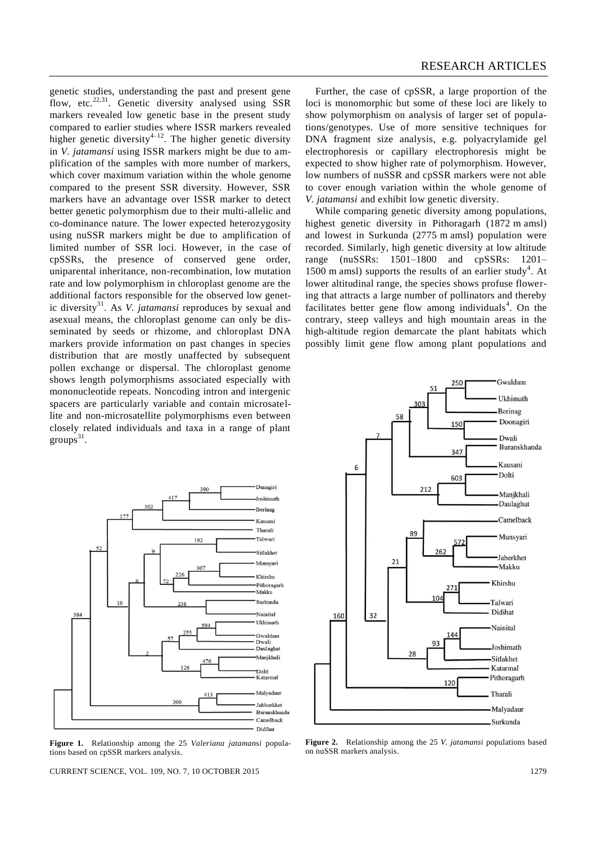genetic studies, understanding the past and present gene flow, etc.<sup>22,31</sup>. Genetic diversity analysed using SSR markers revealed low genetic base in the present study compared to earlier studies where ISSR markers revealed higher genetic diversity<sup>4–12</sup>. The higher genetic diversity in *V. jatamansi* using ISSR markers might be due to amplification of the samples with more number of markers, which cover maximum variation within the whole genome compared to the present SSR diversity. However, SSR markers have an advantage over ISSR marker to detect better genetic polymorphism due to their multi-allelic and co-dominance nature. The lower expected heterozygosity using nuSSR markers might be due to amplification of limited number of SSR loci. However, in the case of cpSSRs, the presence of conserved gene order, uniparental inheritance, non-recombination, low mutation rate and low polymorphism in chloroplast genome are the additional factors responsible for the observed low genetic diversity<sup>31</sup>. As *V. jatamansi* reproduces by sexual and asexual means, the chloroplast genome can only be disseminated by seeds or rhizome, and chloroplast DNA markers provide information on past changes in species distribution that are mostly unaffected by subsequent pollen exchange or dispersal. The chloroplast genome shows length polymorphisms associated especially with mononucleotide repeats. Noncoding intron and intergenic spacers are particularly variable and contain microsatellite and non-microsatellite polymorphisms even between closely related individuals and taxa in a range of plant groups $31$ .



**Figure 1.** Relationship among the 25 *Valeriana jatamansi* populations based on cpSSR markers analysis.

CURRENT SCIENCE, VOL. 109, NO. 7, 10 OCTOBER 2015 1279

Further, the case of cpSSR, a large proportion of the loci is monomorphic but some of these loci are likely to show polymorphism on analysis of larger set of populations/genotypes. Use of more sensitive techniques for DNA fragment size analysis, e.g. polyacrylamide gel electrophoresis or capillary electrophoresis might be expected to show higher rate of polymorphism. However, low numbers of nuSSR and cpSSR markers were not able to cover enough variation within the whole genome of *V. jatamansi* and exhibit low genetic diversity.

While comparing genetic diversity among populations, highest genetic diversity in Pithoragarh (1872 m amsl) and lowest in Surkunda (2775 m amsl) population were recorded. Similarly, high genetic diversity at low altitude range (nuSSRs: 1501–1800 and cpSSRs: 1201– 1500 m amsl) supports the results of an earlier study<sup>4</sup>. At lower altitudinal range, the species shows profuse flowering that attracts a large number of pollinators and thereby facilitates better gene flow among individuals<sup>4</sup>. On the contrary, steep valleys and high mountain areas in the high-altitude region demarcate the plant habitats which possibly limit gene flow among plant populations and



**Figure 2.** Relationship among the 25 *V. jatamansi* populations based on nuSSR markers analysis.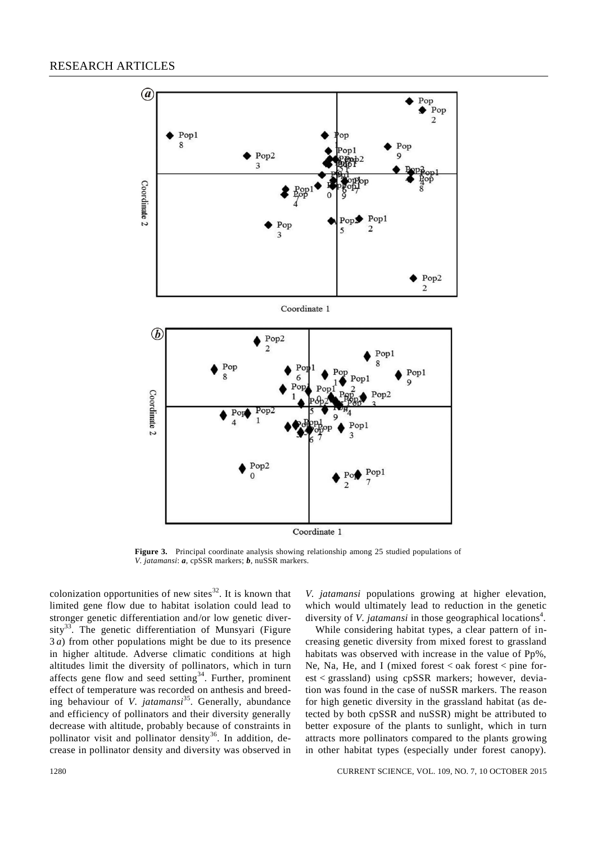

**Figure 3.** Principal coordinate analysis showing relationship among 25 studied populations of *V. jatamansi*: *a*, cpSSR markers; *b*, nuSSR markers.

colonization opportunities of new sites $32$ . It is known that limited gene flow due to habitat isolation could lead to stronger genetic differentiation and/or low genetic diversity<sup>33</sup>. The genetic differentiation of Munsyari (Figure 3 *a*) from other populations might be due to its presence in higher altitude. Adverse climatic conditions at high altitudes limit the diversity of pollinators, which in turn affects gene flow and seed setting<sup>34</sup>. Further, prominent effect of temperature was recorded on anthesis and breeding behaviour of *V. jatamansi*<sup>35</sup>. Generally, abundance and efficiency of pollinators and their diversity generally decrease with altitude, probably because of constraints in pollinator visit and pollinator density<sup>36</sup>. In addition, decrease in pollinator density and diversity was observed in *V. jatamansi* populations growing at higher elevation, which would ultimately lead to reduction in the genetic diversity of *V. jatamansi* in those geographical locations<sup>4</sup>.

While considering habitat types, a clear pattern of increasing genetic diversity from mixed forest to grassland habitats was observed with increase in the value of Pp%, Ne, Na, He, and I (mixed forest  $\lt$  oak forest  $\lt$  pine forest < grassland) using cpSSR markers; however, deviation was found in the case of nuSSR markers. The reason for high genetic diversity in the grassland habitat (as detected by both cpSSR and nuSSR) might be attributed to better exposure of the plants to sunlight, which in turn attracts more pollinators compared to the plants growing in other habitat types (especially under forest canopy).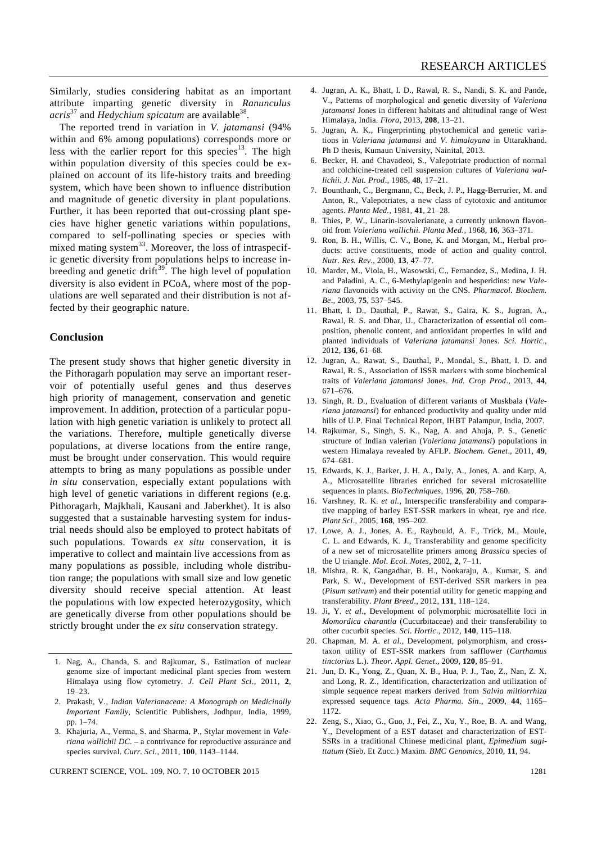Similarly, studies considering habitat as an important attribute imparting genetic diversity in *Ranunculus*  acris<sup>37</sup> and *Hedychium spicatum* are available<sup>38</sup>.

The reported trend in variation in *V. jatamansi* (94% within and 6% among populations) corresponds more or less with the earlier report for this species<sup>13</sup>. The high within population diversity of this species could be explained on account of its life-history traits and breeding system, which have been shown to influence distribution and magnitude of genetic diversity in plant populations. Further, it has been reported that out-crossing plant species have higher genetic variations within populations, compared to self-pollinating species or species with mixed mating system<sup>33</sup>. Moreover, the loss of intraspecific genetic diversity from populations helps to increase inbreeding and genetic drift $39$ . The high level of population diversity is also evident in PCoA, where most of the populations are well separated and their distribution is not affected by their geographic nature.

#### **Conclusion**

The present study shows that higher genetic diversity in the Pithoragarh population may serve an important reservoir of potentially useful genes and thus deserves high priority of management, conservation and genetic improvement. In addition, protection of a particular population with high genetic variation is unlikely to protect all the variations. Therefore, multiple genetically diverse populations, at diverse locations from the entire range, must be brought under conservation. This would require attempts to bring as many populations as possible under *in situ* conservation, especially extant populations with high level of genetic variations in different regions (e.g. Pithoragarh, Majkhali, Kausani and Jaberkhet). It is also suggested that a sustainable harvesting system for industrial needs should also be employed to protect habitats of such populations. Towards *ex situ* conservation, it is imperative to collect and maintain live accessions from as many populations as possible, including whole distribution range; the populations with small size and low genetic diversity should receive special attention. At least the populations with low expected heterozygosity, which are genetically diverse from other populations should be strictly brought under the *ex situ* conservation strategy.

- 1. Nag, A., Chanda, S. and Rajkumar, S., Estimation of nuclear genome size of important medicinal plant species from western Himalaya using flow cytometry. *J. Cell Plant Sci*., 2011, **2**, 19–23.
- 2. Prakash, V., *Indian Valerianaceae: A Monograph on Medicinally Important Family*, Scientific Publishers, Jodhpur, India, 1999, pp. 1–74.
- 3. Khajuria, A., Verma, S. and Sharma, P., Stylar movement in *Valeriana wallichii DC.* **–** a contrivance for reproductive assurance and species survival. *Curr. Sci.*, 2011, **100**, 1143–1144.
- 4. Jugran, A. K., Bhatt, I. D., Rawal, R. S., Nandi, S. K. and Pande, V., Patterns of morphological and genetic diversity of *Valeriana jatamansi* Jones in different habitats and altitudinal range of West Himalaya, India. *Flora*, 2013, **208**, 13–21.
- 5. Jugran, A. K., Fingerprinting phytochemical and genetic variations in *Valeriana jatamansi* and *V. himalayana* in Uttarakhand. Ph D thesis, Kumaun University, Nainital, 2013.
- 6. Becker, H. and Chavadeoi, S., Valepotriate production of normal and colchicine-treated cell suspension cultures of *Valeriana wallichii. J. Nat. Prod*., 1985, **48**, 17–21.
- 7. Bounthanh, C., Bergmann, C., Beck, J. P., Hagg-Berrurier, M. and Anton, R., Valepotriates, a new class of cytotoxic and antitumor agents. *Planta Med.*, 1981, **41**, 21–28.
- 8. Thies, P. W., Linarin-isovalerianate, a currently unknown flavonoid from *Valeriana wallichii. Planta Med.*, 1968, **16**, 363–371.
- 9. Ron, B. H., Willis, C. V., Bone, K. and Morgan, M., Herbal products: active constituents, mode of action and quality control. *Nutr. Res. Rev*., 2000, **13**, 47–77.
- 10. Marder, M., Viola, H., Wasowski, C., Fernandez, S., Medina, J. H. and Paladini, A. C., 6-Methylapigenin and hesperidins: new *Valeriana* flavonoids with activity on the CNS. *Pharmacol. Biochem. Be*., 2003, **75**, 537–545.
- 11. Bhatt, I. D., Dauthal, P., Rawat, S., Gaira, K. S., Jugran, A., Rawal, R. S. and Dhar, U., Characterization of essential oil composition, phenolic content, and antioxidant properties in wild and planted individuals of *Valeriana jatamansi* Jones. *Sci. Hortic.*, 2012, **136**, 61–68.
- 12. Jugran, A., Rawat, S., Dauthal, P., Mondal, S., Bhatt, I. D. and Rawal, R. S., Association of ISSR markers with some biochemical traits of *Valeriana jatamansi* Jones. *Ind. Crop Prod*., 2013, **44**, 671–676.
- 13. Singh, R. D., Evaluation of different variants of Muskbala (*Valeriana jatamansi*) for enhanced productivity and quality under mid hills of U.P. Final Technical Report, IHBT Palampur, India, 2007.
- 14. Rajkumar, S., Singh, S. K., Nag, A. and Ahuja, P. S., Genetic structure of Indian valerian (*Valeriana jatamansi*) populations in western Himalaya revealed by AFLP. *Biochem. Genet*., 2011, **49**, 674–681.
- 15. Edwards, K. J., Barker, J. H. A., Daly, A., Jones, A. and Karp, A. A., Microsatellite libraries enriched for several microsatellite sequences in plants. *BioTechniques*, 1996, **20**, 758–760.
- 16. Varshney, R. K. *et al.*, Interspecific transferability and comparative mapping of barley EST-SSR markers in wheat, rye and rice. *Plant Sci*., 2005, **168**, 195–202.
- 17. Lowe, A. J., Jones, A. E., Raybould, A. F., Trick, M., Moule, C. L. and Edwards, K. J., Transferability and genome specificity of a new set of microsatellite primers among *Brassica* species of the U triangle. *Mol. Ecol. Notes*, 2002, **2**, 7–11.
- 18. Mishra, R. K, Gangadhar, B. H., Nookaraju, A., Kumar, S. and Park, S. W., Development of EST-derived SSR markers in pea (*Pisum sativum*) and their potential utility for genetic mapping and transferability. *Plant Breed*., 2012, **131**, 118–124.
- 19. Ji, Y. *et al.*, Development of polymorphic microsatellite loci in *Momordica charantia* (Cucurbitaceae) and their transferability to other cucurbit species. *Sci. Hortic*., 2012, **140**, 115–118.
- 20. Chapman, M. A. *et al.*, Development, polymorphism, and crosstaxon utility of EST-SSR markers from safflower (*Carthamus tinctorius* L.). *Theor. Appl. Genet*., 2009, **120**, 85–91.
- 21. Jun, D. K., Yong, Z., Quan, X. B., Hua, P. J., Tao, Z., Nan, Z. X. and Long, R. Z., Identification, characterization and utilization of simple sequence repeat markers derived from *Salvia miltiorrhiza*  expressed sequence tags. *Acta Pharma. Sin*., 2009, **44**, 1165– 1172.
- 22. Zeng, S., Xiao, G., Guo, J., Fei, Z., Xu, Y., Roe, B. A. and Wang, Y., Development of a EST dataset and characterization of EST-SSRs in a traditional Chinese medicinal plant, *Epimedium sagittatum* (Sieb. Et Zucc.) Maxim. *BMC Genomics*, 2010, **11**, 94.